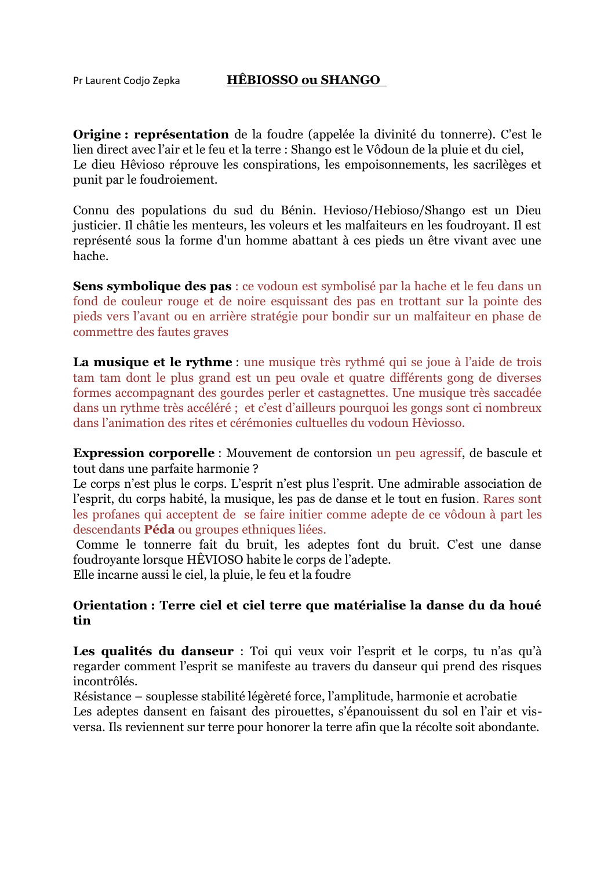## Pr Laurent Codjo Zepka **HÊBIOSSO ou SHANGO**

**Origine** : **représentation** de la foudre (appelée la divinité du tonnerre). C'est le lien direct avec l'air et le feu et la terre : Shango est le Vôdoun de la pluie et du ciel, Le dieu Hêvioso réprouve les conspirations, les empoisonnements, les sacrilèges et punit par le foudroiement.

Connu des populations du sud du Bénin. Hevioso/Hebioso/Shango est un Dieu justicier. Il châtie les menteurs, les voleurs et les malfaiteurs en les foudroyant. Il est représenté sous la forme d'un homme abattant à ces pieds un être vivant avec une hache.

**Sens symbolique des pas** : ce vodoun est symbolisé par la hache et le feu dans un fond de couleur rouge et de noire esquissant des pas en trottant sur la pointe des pieds vers l'avant ou en arrière stratégie pour bondir sur un malfaiteur en phase de commettre des fautes graves

La musique et le rythme : une musique très rythmé qui se joue à l'aide de trois tam tam dont le plus grand est un peu ovale et quatre différents gong de diverses formes accompagnant des gourdes perler et castagnettes. Une musique très saccadée dans un rythme très accéléré ; et c'est d'ailleurs pourquoi les gongs sont ci nombreux dans l'animation des rites et cérémonies cultuelles du vodoun Hèviosso.

**Expression corporelle** : Mouvement de contorsion un peu agressif, de bascule et tout dans une parfaite harmonie ?

Le corps n'est plus le corps. L'esprit n'est plus l'esprit. Une admirable association de l'esprit, du corps habité, la musique, les pas de danse et le tout en fusion. Rares sont les profanes qui acceptent de se faire initier comme adepte de ce vôdoun à part les descendants **Péda** ou groupes ethniques liées.

Comme le tonnerre fait du bruit, les adeptes font du bruit. C'est une danse foudroyante lorsque HÊVIOSO habite le corps de l'adepte.

Elle incarne aussi le ciel, la pluie, le feu et la foudre

## **Orientation : Terre ciel et ciel terre que matérialise la danse du da houé tin**

Les qualités du danseur : Toi qui veux voir l'esprit et le corps, tu n'as qu'à regarder comment l'esprit se manifeste au travers du danseur qui prend des risques incontrôlés.

Résistance – souplesse stabilité légèreté force, l'amplitude, harmonie et acrobatie Les adeptes dansent en faisant des pirouettes, s'épanouissent du sol en l'air et visversa. Ils reviennent sur terre pour honorer la terre afin que la récolte soit abondante.